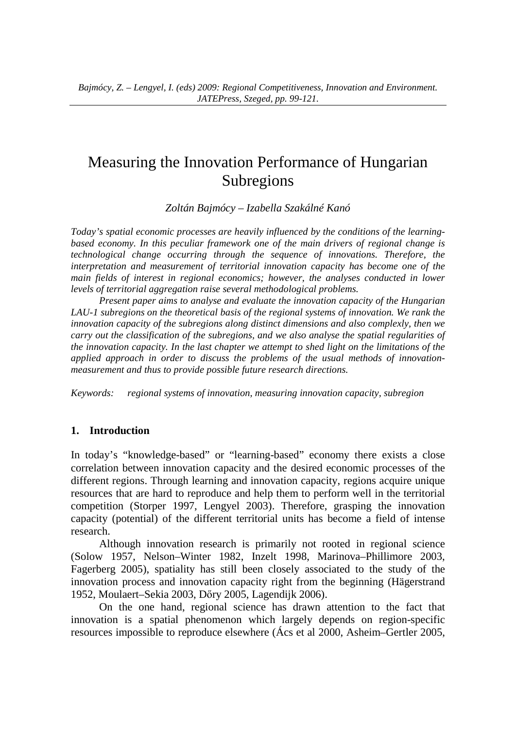# Measuring the Innovation Performance of Hungarian Subregions

*Zoltán Bajmócy – Izabella Szakálné Kanó* 

*Today's spatial economic processes are heavily influenced by the conditions of the learningbased economy. In this peculiar framework one of the main drivers of regional change is technological change occurring through the sequence of innovations. Therefore, the interpretation and measurement of territorial innovation capacity has become one of the main fields of interest in regional economics; however, the analyses conducted in lower levels of territorial aggregation raise several methodological problems.* 

*Present paper aims to analyse and evaluate the innovation capacity of the Hungarian LAU-1 subregions on the theoretical basis of the regional systems of innovation. We rank the innovation capacity of the subregions along distinct dimensions and also complexly, then we carry out the classification of the subregions, and we also analyse the spatial regularities of the innovation capacity. In the last chapter we attempt to shed light on the limitations of the applied approach in order to discuss the problems of the usual methods of innovationmeasurement and thus to provide possible future research directions.* 

*Keywords: regional systems of innovation, measuring innovation capacity, subregion* 

#### **1. Introduction**

In today's "knowledge-based" or "learning-based" economy there exists a close correlation between innovation capacity and the desired economic processes of the different regions. Through learning and innovation capacity, regions acquire unique resources that are hard to reproduce and help them to perform well in the territorial competition (Storper 1997, Lengyel 2003). Therefore, grasping the innovation capacity (potential) of the different territorial units has become a field of intense research.

Although innovation research is primarily not rooted in regional science (Solow 1957, Nelson–Winter 1982, Inzelt 1998, Marinova–Phillimore 2003, Fagerberg 2005), spatiality has still been closely associated to the study of the innovation process and innovation capacity right from the beginning (Hägerstrand 1952, Moulaert–Sekia 2003, Dőry 2005, Lagendijk 2006).

On the one hand, regional science has drawn attention to the fact that innovation is a spatial phenomenon which largely depends on region-specific resources impossible to reproduce elsewhere (Ács et al 2000, Asheim–Gertler 2005,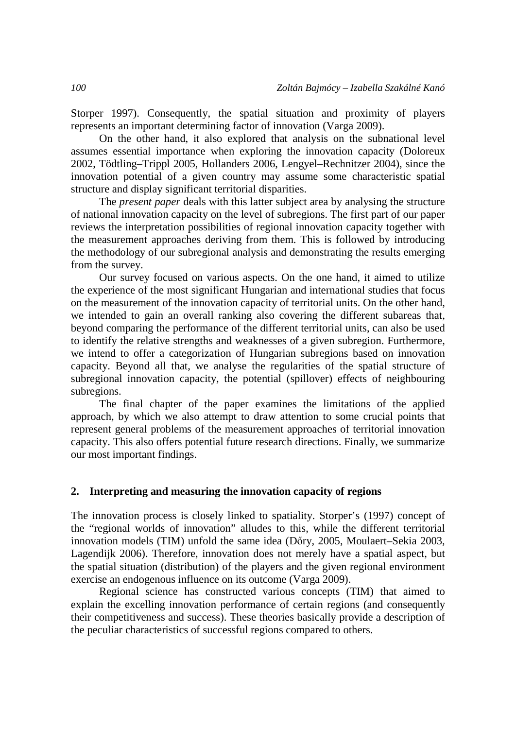Storper 1997). Consequently, the spatial situation and proximity of players represents an important determining factor of innovation (Varga 2009).

On the other hand, it also explored that analysis on the subnational level assumes essential importance when exploring the innovation capacity (Doloreux 2002, Tödtling–Trippl 2005, Hollanders 2006, Lengyel–Rechnitzer 2004), since the innovation potential of a given country may assume some characteristic spatial structure and display significant territorial disparities.

The *present paper* deals with this latter subject area by analysing the structure of national innovation capacity on the level of subregions. The first part of our paper reviews the interpretation possibilities of regional innovation capacity together with the measurement approaches deriving from them. This is followed by introducing the methodology of our subregional analysis and demonstrating the results emerging from the survey.

Our survey focused on various aspects. On the one hand, it aimed to utilize the experience of the most significant Hungarian and international studies that focus on the measurement of the innovation capacity of territorial units. On the other hand, we intended to gain an overall ranking also covering the different subareas that, beyond comparing the performance of the different territorial units, can also be used to identify the relative strengths and weaknesses of a given subregion. Furthermore, we intend to offer a categorization of Hungarian subregions based on innovation capacity. Beyond all that, we analyse the regularities of the spatial structure of subregional innovation capacity, the potential (spillover) effects of neighbouring subregions.

The final chapter of the paper examines the limitations of the applied approach, by which we also attempt to draw attention to some crucial points that represent general problems of the measurement approaches of territorial innovation capacity. This also offers potential future research directions. Finally, we summarize our most important findings.

### **2. Interpreting and measuring the innovation capacity of regions**

The innovation process is closely linked to spatiality. Storper's (1997) concept of the "regional worlds of innovation" alludes to this, while the different territorial innovation models (TIM) unfold the same idea (Dőry, 2005, Moulaert–Sekia 2003, Lagendijk 2006). Therefore, innovation does not merely have a spatial aspect, but the spatial situation (distribution) of the players and the given regional environment exercise an endogenous influence on its outcome (Varga 2009).

Regional science has constructed various concepts (TIM) that aimed to explain the excelling innovation performance of certain regions (and consequently their competitiveness and success). These theories basically provide a description of the peculiar characteristics of successful regions compared to others.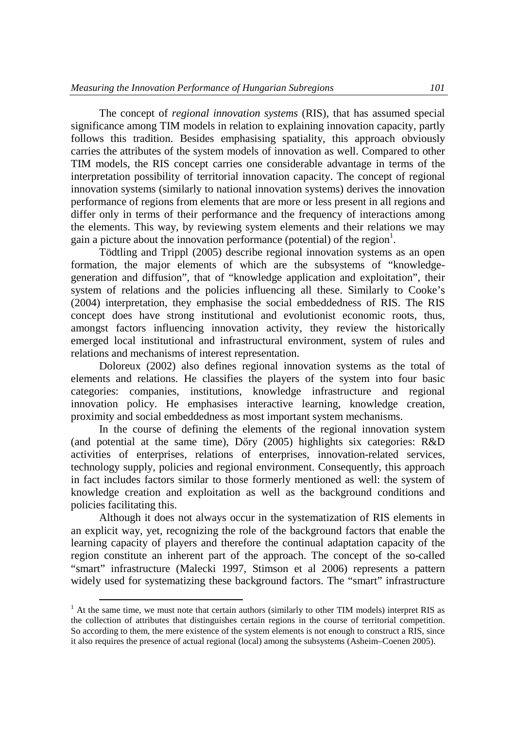The concept of *regional innovation systems* (RIS), that has assumed special significance among TIM models in relation to explaining innovation capacity, partly follows this tradition. Besides emphasising spatiality, this approach obviously carries the attributes of the system models of innovation as well. Compared to other TIM models, the RIS concept carries one considerable advantage in terms of the interpretation possibility of territorial innovation capacity. The concept of regional innovation systems (similarly to national innovation systems) derives the innovation performance of regions from elements that are more or less present in all regions and differ only in terms of their performance and the frequency of interactions among the elements. This way, by reviewing system elements and their relations we may gain a picture about the innovation performance (potential) of the region<sup>1</sup>.

Tödtling and Trippl (2005) describe regional innovation systems as an open formation, the major elements of which are the subsystems of "knowledgegeneration and diffusion", that of "knowledge application and exploitation", their system of relations and the policies influencing all these. Similarly to Cooke's (2004) interpretation, they emphasise the social embeddedness of RIS. The RIS concept does have strong institutional and evolutionist economic roots, thus, amongst factors influencing innovation activity, they review the historically emerged local institutional and infrastructural environment, system of rules and relations and mechanisms of interest representation.

Doloreux (2002) also defines regional innovation systems as the total of elements and relations. He classifies the players of the system into four basic categories: companies, institutions, knowledge infrastructure and regional innovation policy. He emphasises interactive learning, knowledge creation, proximity and social embeddedness as most important system mechanisms.

In the course of defining the elements of the regional innovation system (and potential at the same time), Dőry (2005) highlights six categories: R&D activities of enterprises, relations of enterprises, innovation-related services, technology supply, policies and regional environment. Consequently, this approach in fact includes factors similar to those formerly mentioned as well: the system of knowledge creation and exploitation as well as the background conditions and policies facilitating this.

Although it does not always occur in the systematization of RIS elements in an explicit way, yet, recognizing the role of the background factors that enable the learning capacity of players and therefore the continual adaptation capacity of the region constitute an inherent part of the approach. The concept of the so-called "smart" infrastructure (Malecki 1997, Stimson et al 2006) represents a pattern widely used for systematizing these background factors. The "smart" infrastructure

 $\overline{a}$ 

<sup>&</sup>lt;sup>1</sup> At the same time, we must note that certain authors (similarly to other TIM models) interpret RIS as the collection of attributes that distinguishes certain regions in the course of territorial competition. So according to them, the mere existence of the system elements is not enough to construct a RIS, since it also requires the presence of actual regional (local) among the subsystems (Asheim–Coenen 2005).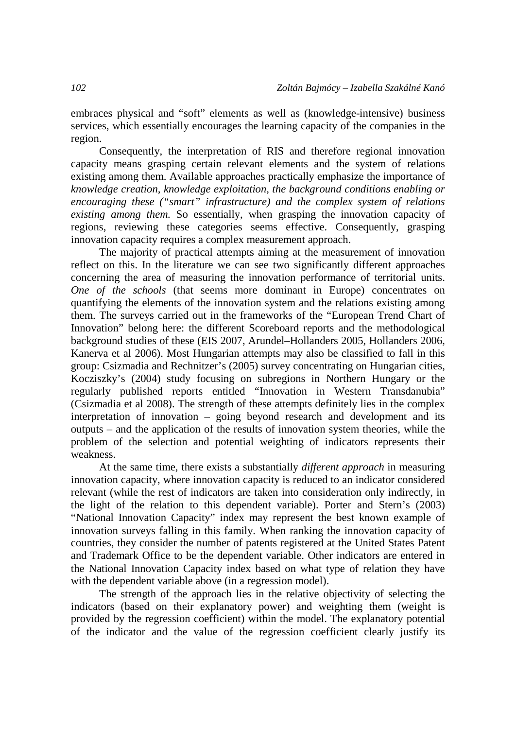embraces physical and "soft" elements as well as (knowledge-intensive) business services, which essentially encourages the learning capacity of the companies in the region.

Consequently, the interpretation of RIS and therefore regional innovation capacity means grasping certain relevant elements and the system of relations existing among them. Available approaches practically emphasize the importance of *knowledge creation, knowledge exploitation, the background conditions enabling or encouraging these ("smart" infrastructure) and the complex system of relations existing among them.* So essentially, when grasping the innovation capacity of regions, reviewing these categories seems effective. Consequently, grasping innovation capacity requires a complex measurement approach.

The majority of practical attempts aiming at the measurement of innovation reflect on this. In the literature we can see two significantly different approaches concerning the area of measuring the innovation performance of territorial units. *One of the schools* (that seems more dominant in Europe) concentrates on quantifying the elements of the innovation system and the relations existing among them. The surveys carried out in the frameworks of the "European Trend Chart of Innovation" belong here: the different Scoreboard reports and the methodological background studies of these (EIS 2007, Arundel–Hollanders 2005, Hollanders 2006, Kanerva et al 2006). Most Hungarian attempts may also be classified to fall in this group: Csizmadia and Rechnitzer's (2005) survey concentrating on Hungarian cities, Kocziszky's (2004) study focusing on subregions in Northern Hungary or the regularly published reports entitled "Innovation in Western Transdanubia" (Csizmadia et al 2008). The strength of these attempts definitely lies in the complex interpretation of innovation – going beyond research and development and its outputs – and the application of the results of innovation system theories, while the problem of the selection and potential weighting of indicators represents their weakness.

At the same time, there exists a substantially *different approach* in measuring innovation capacity, where innovation capacity is reduced to an indicator considered relevant (while the rest of indicators are taken into consideration only indirectly, in the light of the relation to this dependent variable). Porter and Stern's (2003) "National Innovation Capacity" index may represent the best known example of innovation surveys falling in this family. When ranking the innovation capacity of countries, they consider the number of patents registered at the United States Patent and Trademark Office to be the dependent variable. Other indicators are entered in the National Innovation Capacity index based on what type of relation they have with the dependent variable above (in a regression model).

The strength of the approach lies in the relative objectivity of selecting the indicators (based on their explanatory power) and weighting them (weight is provided by the regression coefficient) within the model. The explanatory potential of the indicator and the value of the regression coefficient clearly justify its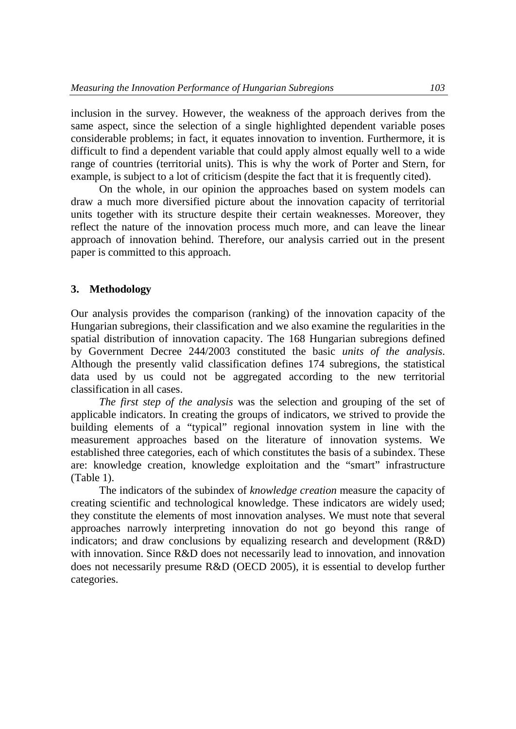inclusion in the survey. However, the weakness of the approach derives from the same aspect, since the selection of a single highlighted dependent variable poses considerable problems; in fact, it equates innovation to invention. Furthermore, it is difficult to find a dependent variable that could apply almost equally well to a wide range of countries (territorial units). This is why the work of Porter and Stern, for example, is subject to a lot of criticism (despite the fact that it is frequently cited).

On the whole, in our opinion the approaches based on system models can draw a much more diversified picture about the innovation capacity of territorial units together with its structure despite their certain weaknesses. Moreover, they reflect the nature of the innovation process much more, and can leave the linear approach of innovation behind. Therefore, our analysis carried out in the present paper is committed to this approach.

#### **3. Methodology**

Our analysis provides the comparison (ranking) of the innovation capacity of the Hungarian subregions, their classification and we also examine the regularities in the spatial distribution of innovation capacity. The 168 Hungarian subregions defined by Government Decree 244/2003 constituted the basic *units of the analysis*. Although the presently valid classification defines 174 subregions, the statistical data used by us could not be aggregated according to the new territorial classification in all cases.

*The first step of the analysis* was the selection and grouping of the set of applicable indicators. In creating the groups of indicators, we strived to provide the building elements of a "typical" regional innovation system in line with the measurement approaches based on the literature of innovation systems. We established three categories, each of which constitutes the basis of a subindex. These are: knowledge creation, knowledge exploitation and the "smart" infrastructure (Table 1).

The indicators of the subindex of *knowledge creation* measure the capacity of creating scientific and technological knowledge. These indicators are widely used; they constitute the elements of most innovation analyses. We must note that several approaches narrowly interpreting innovation do not go beyond this range of indicators; and draw conclusions by equalizing research and development (R&D) with innovation. Since R&D does not necessarily lead to innovation, and innovation does not necessarily presume R&D (OECD 2005), it is essential to develop further categories.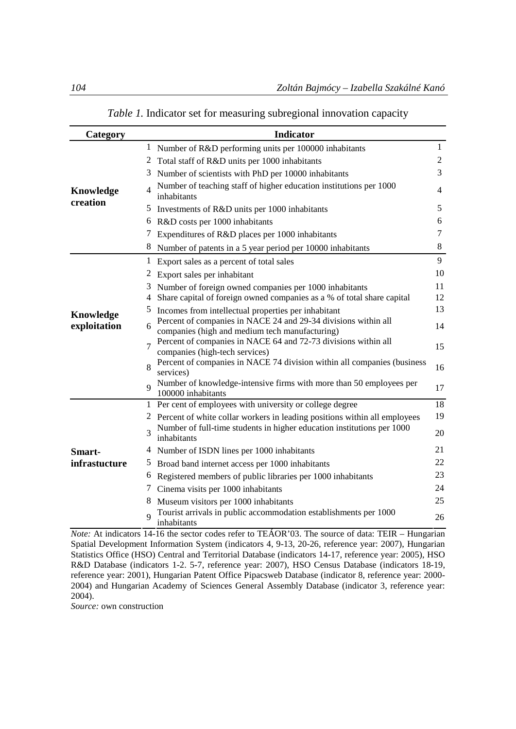| Category              |                | <b>Indicator</b>                                                                                                 |                |
|-----------------------|----------------|------------------------------------------------------------------------------------------------------------------|----------------|
|                       |                | <sup>1</sup> Number of R&D performing units per 100000 inhabitants                                               | 1              |
| Knowledge<br>creation | 2              | Total staff of R&D units per 1000 inhabitants                                                                    | 2              |
|                       | 3              | Number of scientists with PhD per 10000 inhabitants                                                              | 3              |
|                       | 4              | Number of teaching staff of higher education institutions per 1000<br>inhabitants                                | $\overline{4}$ |
|                       | 5              | Investments of R&D units per 1000 inhabitants                                                                    | 5              |
|                       |                | 6 R&D costs per 1000 inhabitants                                                                                 | 6              |
|                       |                | Expenditures of R&D places per 1000 inhabitants                                                                  | 7              |
|                       |                | 8 Number of patents in a 5 year period per 10000 inhabitants                                                     | 8              |
|                       | $\mathbf{1}$   | Export sales as a percent of total sales                                                                         | 9              |
|                       |                | 2 Export sales per inhabitant                                                                                    | 10             |
|                       |                | 3 Number of foreign owned companies per 1000 inhabitants                                                         | 11             |
|                       | 4              | Share capital of foreign owned companies as a % of total share capital                                           | 12             |
| <b>Knowledge</b>      | 5              | Incomes from intellectual properties per inhabitant                                                              | 13             |
| exploitation          | 6              | Percent of companies in NACE 24 and 29-34 divisions within all<br>companies (high and medium tech manufacturing) | 14             |
|                       | $\overline{7}$ | Percent of companies in NACE 64 and 72-73 divisions within all<br>companies (high-tech services)                 | 15             |
|                       | 8              | Percent of companies in NACE 74 division within all companies (business<br>services)                             | 16             |
|                       | $\mathbf Q$    | Number of knowledge-intensive firms with more than 50 employees per<br>100000 inhabitants                        | 17             |
|                       |                | 1 Per cent of employees with university or college degree                                                        | 18             |
|                       |                | Percent of white collar workers in leading positions within all employees                                        | 19             |
|                       | 3              | Number of full-time students in higher education institutions per 1000<br>inhabitants                            | 20             |
| Smart-                |                | 4 Number of ISDN lines per 1000 inhabitants                                                                      | 21             |
| infrastucture         |                | 5 Broad band internet access per 1000 inhabitants                                                                | 22             |
|                       | 6              | Registered members of public libraries per 1000 inhabitants                                                      | 23             |
|                       | $\mathcal{T}$  | Cinema visits per 1000 inhabitants                                                                               | 24             |
|                       | 8              | Museum visitors per 1000 inhabitants                                                                             | 25             |
|                       | $\overline{Q}$ | Tourist arrivals in public accommodation establishments per 1000<br>inhabitants                                  | 26             |

### *Table 1.* Indicator set for measuring subregional innovation capacity

*Note:* At indicators 14-16 the sector codes refer to TEÁOR'03. The source of data: TEIR – Hungarian Spatial Development Information System (indicators 4, 9-13, 20-26, reference year: 2007), Hungarian Statistics Office (HSO) Central and Territorial Database (indicators 14-17, reference year: 2005), HSO R&D Database (indicators 1-2. 5-7, reference year: 2007), HSO Census Database (indicators 18-19, reference year: 2001), Hungarian Patent Office Pipacsweb Database (indicator 8, reference year: 2000- 2004) and Hungarian Academy of Sciences General Assembly Database (indicator 3, reference year: 2004).

*Source:* own construction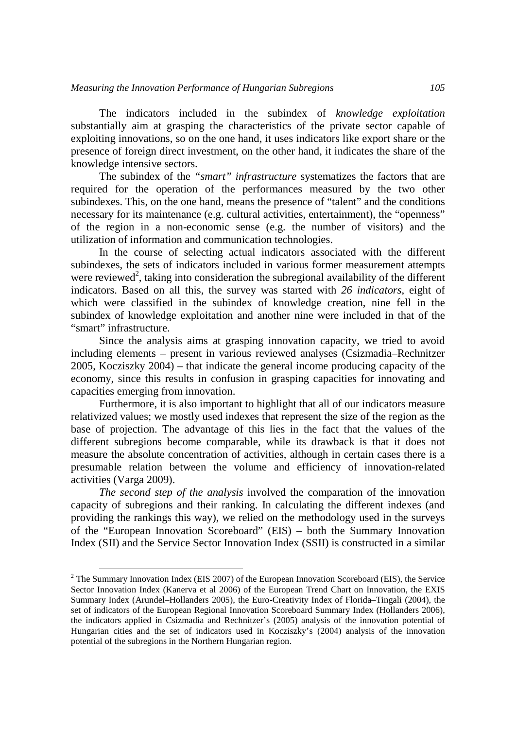The indicators included in the subindex of *knowledge exploitation* substantially aim at grasping the characteristics of the private sector capable of exploiting innovations, so on the one hand, it uses indicators like export share or the presence of foreign direct investment, on the other hand, it indicates the share of the knowledge intensive sectors.

The subindex of the *"smart" infrastructure* systematizes the factors that are required for the operation of the performances measured by the two other subindexes. This, on the one hand, means the presence of "talent" and the conditions necessary for its maintenance (e.g. cultural activities, entertainment), the "openness" of the region in a non-economic sense (e.g. the number of visitors) and the utilization of information and communication technologies.

In the course of selecting actual indicators associated with the different subindexes, the sets of indicators included in various former measurement attempts were reviewed<sup>2</sup>, taking into consideration the subregional availability of the different indicators. Based on all this, the survey was started with *26 indicators*, eight of which were classified in the subindex of knowledge creation, nine fell in the subindex of knowledge exploitation and another nine were included in that of the "smart" infrastructure.

Since the analysis aims at grasping innovation capacity, we tried to avoid including elements – present in various reviewed analyses (Csizmadia–Rechnitzer 2005, Kocziszky 2004) – that indicate the general income producing capacity of the economy, since this results in confusion in grasping capacities for innovating and capacities emerging from innovation.

Furthermore, it is also important to highlight that all of our indicators measure relativized values; we mostly used indexes that represent the size of the region as the base of projection. The advantage of this lies in the fact that the values of the different subregions become comparable, while its drawback is that it does not measure the absolute concentration of activities, although in certain cases there is a presumable relation between the volume and efficiency of innovation-related activities (Varga 2009).

*The second step of the analysis* involved the comparation of the innovation capacity of subregions and their ranking. In calculating the different indexes (and providing the rankings this way), we relied on the methodology used in the surveys of the "European Innovation Scoreboard" (EIS) – both the Summary Innovation Index (SII) and the Service Sector Innovation Index (SSII) is constructed in a similar

 $\overline{a}$ 

 $2^2$  The Summary Innovation Index (EIS 2007) of the European Innovation Scoreboard (EIS), the Service Sector Innovation Index (Kanerva et al 2006) of the European Trend Chart on Innovation, the EXIS Summary Index (Arundel–Hollanders 2005), the Euro-Creativity Index of Florida–Tingali (2004), the set of indicators of the European Regional Innovation Scoreboard Summary Index (Hollanders 2006), the indicators applied in Csizmadia and Rechnitzer's (2005) analysis of the innovation potential of Hungarian cities and the set of indicators used in Kocziszky's (2004) analysis of the innovation potential of the subregions in the Northern Hungarian region.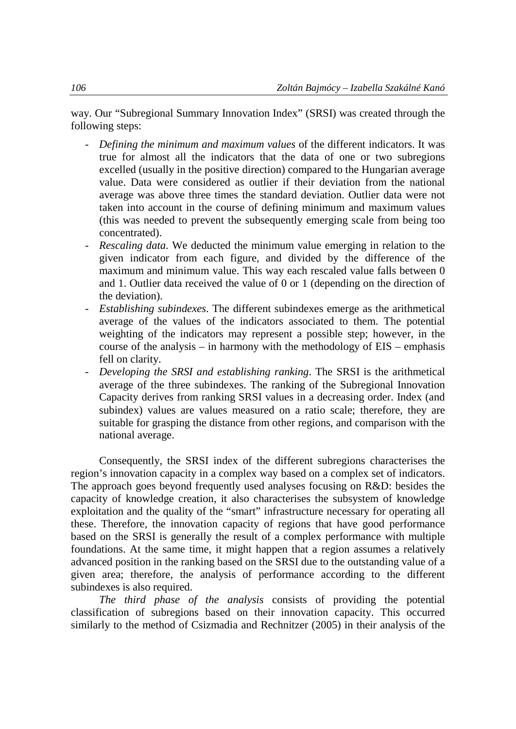way. Our "Subregional Summary Innovation Index" (SRSI) was created through the following steps:

- *Defining the minimum and maximum values* of the different indicators. It was true for almost all the indicators that the data of one or two subregions excelled (usually in the positive direction) compared to the Hungarian average value. Data were considered as outlier if their deviation from the national average was above three times the standard deviation. Outlier data were not taken into account in the course of defining minimum and maximum values (this was needed to prevent the subsequently emerging scale from being too concentrated).
- *Rescaling data*. We deducted the minimum value emerging in relation to the given indicator from each figure, and divided by the difference of the maximum and minimum value. This way each rescaled value falls between 0 and 1. Outlier data received the value of 0 or 1 (depending on the direction of the deviation).
- *Establishing subindexes*. The different subindexes emerge as the arithmetical average of the values of the indicators associated to them. The potential weighting of the indicators may represent a possible step; however, in the course of the analysis – in harmony with the methodology of  $EIS$  – emphasis fell on clarity.
- *Developing the SRSI and establishing ranking*. The SRSI is the arithmetical average of the three subindexes. The ranking of the Subregional Innovation Capacity derives from ranking SRSI values in a decreasing order. Index (and subindex) values are values measured on a ratio scale; therefore, they are suitable for grasping the distance from other regions, and comparison with the national average.

Consequently, the SRSI index of the different subregions characterises the region's innovation capacity in a complex way based on a complex set of indicators. The approach goes beyond frequently used analyses focusing on R&D: besides the capacity of knowledge creation, it also characterises the subsystem of knowledge exploitation and the quality of the "smart" infrastructure necessary for operating all these. Therefore, the innovation capacity of regions that have good performance based on the SRSI is generally the result of a complex performance with multiple foundations. At the same time, it might happen that a region assumes a relatively advanced position in the ranking based on the SRSI due to the outstanding value of a given area; therefore, the analysis of performance according to the different subindexes is also required.

*The third phase of the analysis* consists of providing the potential classification of subregions based on their innovation capacity. This occurred similarly to the method of Csizmadia and Rechnitzer (2005) in their analysis of the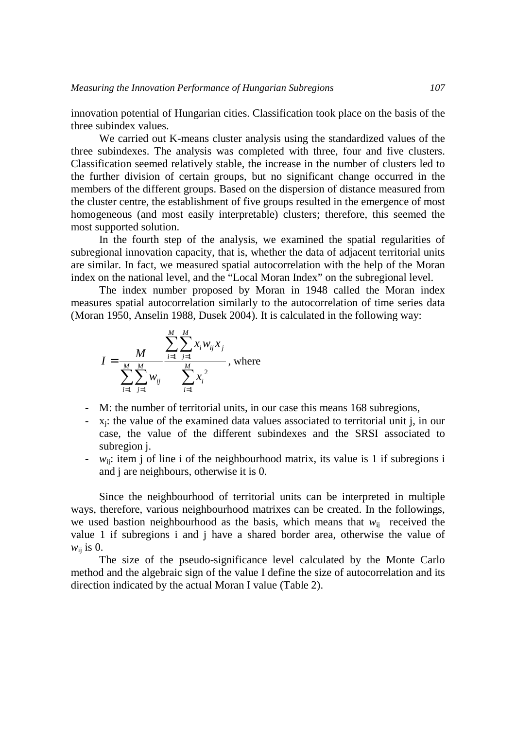innovation potential of Hungarian cities. Classification took place on the basis of the three subindex values.

We carried out K-means cluster analysis using the standardized values of the three subindexes. The analysis was completed with three, four and five clusters. Classification seemed relatively stable, the increase in the number of clusters led to the further division of certain groups, but no significant change occurred in the members of the different groups. Based on the dispersion of distance measured from the cluster centre, the establishment of five groups resulted in the emergence of most homogeneous (and most easily interpretable) clusters; therefore, this seemed the most supported solution.

In the fourth step of the analysis, we examined the spatial regularities of subregional innovation capacity, that is, whether the data of adjacent territorial units are similar. In fact, we measured spatial autocorrelation with the help of the Moran index on the national level, and the "Local Moran Index" on the subregional level.

The index number proposed by Moran in 1948 called the Moran index measures spatial autocorrelation similarly to the autocorrelation of time series data (Moran 1950, Anselin 1988, Dusek 2004). It is calculated in the following way:

$$
I = \frac{M}{\sum_{i=1}^{M} \sum_{j=1}^{M} w_{ij}} \sum_{i=1}^{M} \sum_{j=1}^{M} x_i w_{ij} x_j
$$
, where

- M: the number of territorial units, in our case this means 168 subregions,
- $-$  x<sub>j</sub>: the value of the examined data values associated to territorial unit j, in our case, the value of the different subindexes and the SRSI associated to subregion j.
- *w*ij: item j of line i of the neighbourhood matrix, its value is 1 if subregions i and j are neighbours, otherwise it is 0.

Since the neighbourhood of territorial units can be interpreted in multiple ways, therefore, various neighbourhood matrixes can be created. In the followings, we used bastion neighbourhood as the basis, which means that  $w_{ii}$  received the value 1 if subregions i and j have a shared border area, otherwise the value of  $w_{ii}$  is 0.

The size of the pseudo-significance level calculated by the Monte Carlo method and the algebraic sign of the value I define the size of autocorrelation and its direction indicated by the actual Moran I value (Table 2).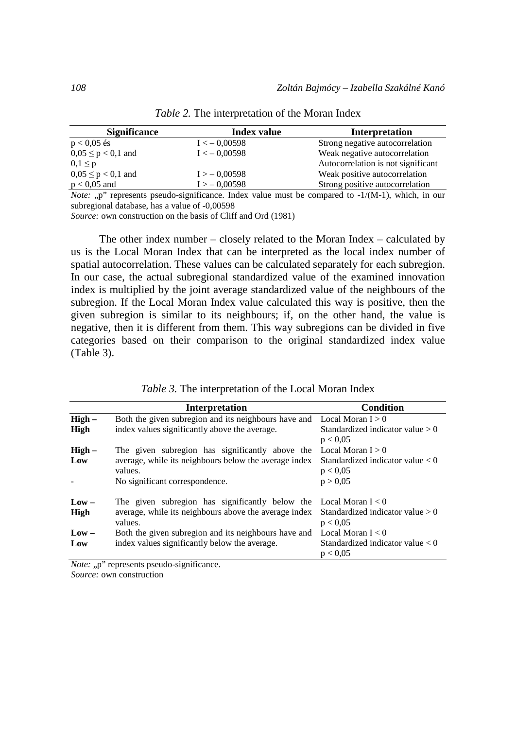| <b>Significance</b>    | <b>Index value</b> | Interpretation                                                                                                                                                                                                                                                                                              |
|------------------------|--------------------|-------------------------------------------------------------------------------------------------------------------------------------------------------------------------------------------------------------------------------------------------------------------------------------------------------------|
| $p < 0.05$ és          | $I < -0.00598$     | Strong negative autocorrelation                                                                                                                                                                                                                                                                             |
| $0.05 \le p < 0.1$ and | $I < -0.00598$     | Weak negative autocorrelation                                                                                                                                                                                                                                                                               |
| $0, 1 \leq p$          |                    | Autocorrelation is not significant                                                                                                                                                                                                                                                                          |
| $0.05 \le p < 0.1$ and | $I > -0.00598$     | Weak positive autocorrelation                                                                                                                                                                                                                                                                               |
| $p < 0.05$ and         | $I > -0.00598$     | Strong positive autocorrelation                                                                                                                                                                                                                                                                             |
|                        |                    | $\mathbf{M}$ , $\mathbf{M}$ , $\mathbf{M}$ , $\mathbf{M}$ , $\mathbf{M}$ , $\mathbf{M}$ , $\mathbf{M}$ , $\mathbf{M}$ , $\mathbf{M}$ , $\mathbf{M}$ , $\mathbf{M}$ , $\mathbf{M}$ , $\mathbf{M}$ , $\mathbf{M}$ , $\mathbf{M}$ , $\mathbf{M}$ , $\mathbf{M}$ , $\mathbf{M}$ , $\mathbf{M}$ , $\mathbf{M}$ , |

*Table 2.* The interpretation of the Moran Index

*Note:* "p" represents pseudo-significance. Index value must be compared to -1/(M-1), which, in our subregional database, has a value of -0,00598

*Source:* own construction on the basis of Cliff and Ord (1981)

The other index number – closely related to the Moran Index – calculated by us is the Local Moran Index that can be interpreted as the local index number of spatial autocorrelation. These values can be calculated separately for each subregion. In our case, the actual subregional standardized value of the examined innovation index is multiplied by the joint average standardized value of the neighbours of the subregion. If the Local Moran Index value calculated this way is positive, then the given subregion is similar to its neighbours; if, on the other hand, the value is negative, then it is different from them. This way subregions can be divided in five categories based on their comparison to the original standardized index value (Table 3).

|          | <b>Interpretation</b>                                                    | Condition                                      |
|----------|--------------------------------------------------------------------------|------------------------------------------------|
| $High -$ | Both the given subregion and its neighbours have and Local Moran $I > 0$ |                                                |
| High     | index values significantly above the average.                            | Standardized indicator value $>0$<br>p < 0.05  |
| $High -$ | The given subregion has significantly above the                          | Local Moran $I > 0$                            |
| Low      | average, while its neighbours below the average index<br>values.         | Standardized indicator value $< 0$<br>p < 0.05 |
|          | No significant correspondence.                                           | p > 0.05                                       |
| $Low -$  | The given subregion has significantly below the                          | Local Moran $I < 0$                            |
| High     | average, while its neighbours above the average index<br>values.         | Standardized indicator value $>0$<br>p < 0.05  |
| $Low -$  | Both the given subregion and its neighbours have and                     | Local Moran $I < 0$                            |
| Low      | index values significantly below the average.                            | Standardized indicator value $< 0$<br>p < 0.05 |

*Note:* "p" represents pseudo-significance.

*Source:* own construction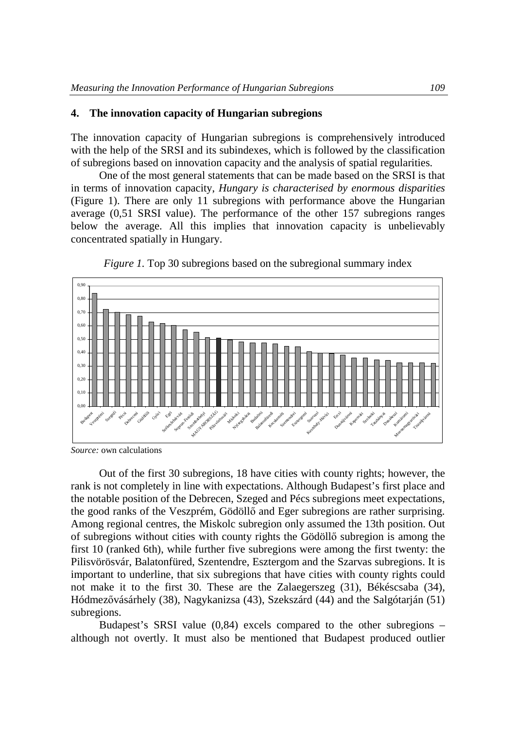## **4. The innovation capacity of Hungarian subregions**

The innovation capacity of Hungarian subregions is comprehensively introduced with the help of the SRSI and its subindexes, which is followed by the classification of subregions based on innovation capacity and the analysis of spatial regularities.

One of the most general statements that can be made based on the SRSI is that in terms of innovation capacity, *Hungary is characterised by enormous disparities* (Figure 1). There are only 11 subregions with performance above the Hungarian average (0,51 SRSI value). The performance of the other 157 subregions ranges below the average. All this implies that innovation capacity is unbelievably concentrated spatially in Hungary.





*Source:* own calculations

Out of the first 30 subregions, 18 have cities with county rights; however, the rank is not completely in line with expectations. Although Budapest's first place and the notable position of the Debrecen, Szeged and Pécs subregions meet expectations, the good ranks of the Veszprém, Gödöllő and Eger subregions are rather surprising. Among regional centres, the Miskolc subregion only assumed the 13th position. Out of subregions without cities with county rights the Gödöllő subregion is among the first 10 (ranked 6th), while further five subregions were among the first twenty: the Pilisvörösvár, Balatonfüred, Szentendre, Esztergom and the Szarvas subregions. It is important to underline, that six subregions that have cities with county rights could not make it to the first 30. These are the Zalaegerszeg (31), Békéscsaba (34), Hódmezővásárhely (38), Nagykanizsa (43), Szekszárd (44) and the Salgótarján (51) subregions.

Budapest's SRSI value (0,84) excels compared to the other subregions – although not overtly. It must also be mentioned that Budapest produced outlier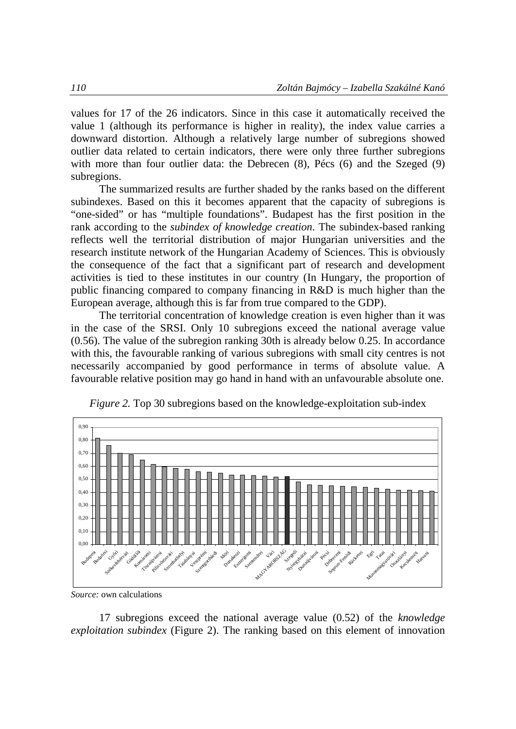values for 17 of the 26 indicators. Since in this case it automatically received the value 1 (although its performance is higher in reality), the index value carries a downward distortion. Although a relatively large number of subregions showed outlier data related to certain indicators, there were only three further subregions with more than four outlier data: the Debrecen  $(8)$ , Pécs  $(6)$  and the Szeged  $(9)$ subregions.

The summarized results are further shaded by the ranks based on the different subindexes. Based on this it becomes apparent that the capacity of subregions is "one-sided" or has "multiple foundations". Budapest has the first position in the rank according to the *subindex of knowledge creation*. The subindex-based ranking reflects well the territorial distribution of major Hungarian universities and the research institute network of the Hungarian Academy of Sciences. This is obviously the consequence of the fact that a significant part of research and development activities is tied to these institutes in our country (In Hungary, the proportion of public financing compared to company financing in R&D is much higher than the European average, although this is far from true compared to the GDP).

The territorial concentration of knowledge creation is even higher than it was in the case of the SRSI. Only 10 subregions exceed the national average value (0.56). The value of the subregion ranking 30th is already below 0.25. In accordance with this, the favourable ranking of various subregions with small city centres is not necessarily accompanied by good performance in terms of absolute value. A favourable relative position may go hand in hand with an unfavourable absolute one.



*Figure 2.* Top 30 subregions based on the knowledge-exploitation sub-index

*Source:* own calculations

17 subregions exceed the national average value (0.52) of the *knowledge exploitation subindex* (Figure 2). The ranking based on this element of innovation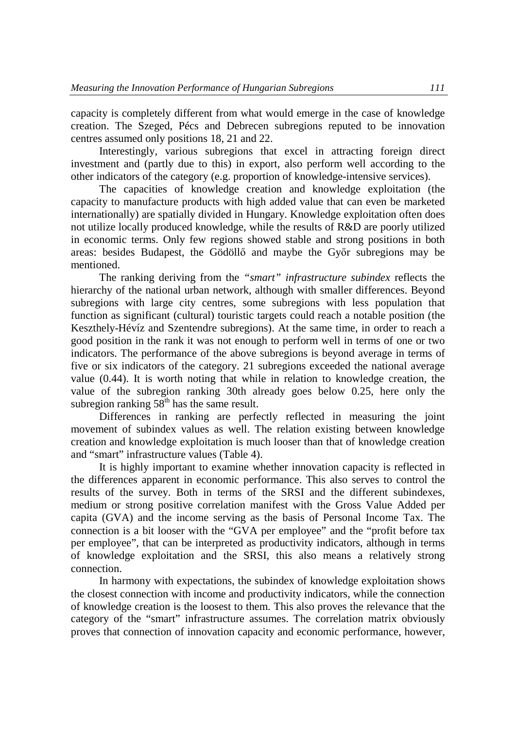capacity is completely different from what would emerge in the case of knowledge creation. The Szeged, Pécs and Debrecen subregions reputed to be innovation centres assumed only positions 18, 21 and 22.

Interestingly, various subregions that excel in attracting foreign direct investment and (partly due to this) in export, also perform well according to the other indicators of the category (e.g. proportion of knowledge-intensive services).

The capacities of knowledge creation and knowledge exploitation (the capacity to manufacture products with high added value that can even be marketed internationally) are spatially divided in Hungary. Knowledge exploitation often does not utilize locally produced knowledge, while the results of R&D are poorly utilized in economic terms. Only few regions showed stable and strong positions in both areas: besides Budapest, the Gödöllő and maybe the Győr subregions may be mentioned.

The ranking deriving from the *"smart" infrastructure subindex* reflects the hierarchy of the national urban network, although with smaller differences. Beyond subregions with large city centres, some subregions with less population that function as significant (cultural) touristic targets could reach a notable position (the Keszthely-Hévíz and Szentendre subregions). At the same time, in order to reach a good position in the rank it was not enough to perform well in terms of one or two indicators. The performance of the above subregions is beyond average in terms of five or six indicators of the category. 21 subregions exceeded the national average value (0.44). It is worth noting that while in relation to knowledge creation, the value of the subregion ranking 30th already goes below 0.25, here only the subregion ranking  $58^{\text{th}}$  has the same result.

Differences in ranking are perfectly reflected in measuring the joint movement of subindex values as well. The relation existing between knowledge creation and knowledge exploitation is much looser than that of knowledge creation and "smart" infrastructure values (Table 4).

It is highly important to examine whether innovation capacity is reflected in the differences apparent in economic performance. This also serves to control the results of the survey. Both in terms of the SRSI and the different subindexes, medium or strong positive correlation manifest with the Gross Value Added per capita (GVA) and the income serving as the basis of Personal Income Tax. The connection is a bit looser with the "GVA per employee" and the "profit before tax per employee", that can be interpreted as productivity indicators, although in terms of knowledge exploitation and the SRSI, this also means a relatively strong connection.

In harmony with expectations, the subindex of knowledge exploitation shows the closest connection with income and productivity indicators, while the connection of knowledge creation is the loosest to them. This also proves the relevance that the category of the "smart" infrastructure assumes. The correlation matrix obviously proves that connection of innovation capacity and economic performance, however,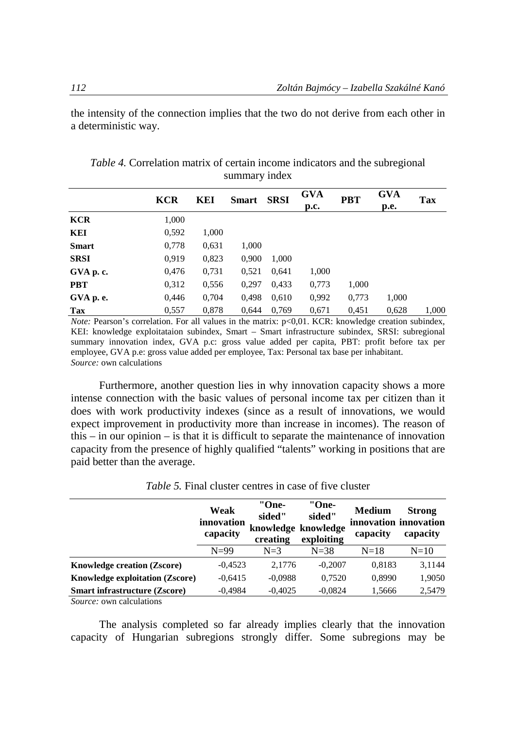the intensity of the connection implies that the two do not derive from each other in a deterministic way.

|              | <b>KCR</b> | KEI   | Smart | <b>SRSI</b> | <b>GVA</b><br>p.c. | <b>PBT</b> | GVA<br>p.e. | Tax   |
|--------------|------------|-------|-------|-------------|--------------------|------------|-------------|-------|
| <b>KCR</b>   | 1,000      |       |       |             |                    |            |             |       |
| KEI          | 0,592      | 1,000 |       |             |                    |            |             |       |
| <b>Smart</b> | 0,778      | 0.631 | 1,000 |             |                    |            |             |       |
| <b>SRSI</b>  | 0,919      | 0,823 | 0,900 | 1,000       |                    |            |             |       |
| GVA p. c.    | 0,476      | 0,731 | 0,521 | 0,641       | 1,000              |            |             |       |
| <b>PBT</b>   | 0,312      | 0,556 | 0,297 | 0,433       | 0,773              | 1,000      |             |       |
| GVA p. e.    | 0,446      | 0,704 | 0,498 | 0.610       | 0,992              | 0,773      | 1,000       |       |
| Tax          | 0,557      | 0,878 | 0.644 | 0.769       | 0,671              | 0.451      | 0,628       | 1,000 |

*Table 4.* Correlation matrix of certain income indicators and the subregional summary index

*Note:* Pearson's correlation. For all values in the matrix: p<0,01. KCR: knowledge creation subindex, KEI: knowledge exploitataion subindex, Smart – Smart infrastructure subindex, SRSI: subregional summary innovation index, GVA p.c: gross value added per capita, PBT: profit before tax per employee, GVA p.e: gross value added per employee, Tax: Personal tax base per inhabitant. *Source:* own calculations

Furthermore, another question lies in why innovation capacity shows a more intense connection with the basic values of personal income tax per citizen than it does with work productivity indexes (since as a result of innovations, we would expect improvement in productivity more than increase in incomes). The reason of this – in our opinion – is that it is difficult to separate the maintenance of innovation capacity from the presence of highly qualified "talents" working in positions that are paid better than the average.

|                                        | Weak<br>innovation<br>capacity | "One-<br>sided"<br>creating | "One-<br>sided"<br>knowledge knowledge<br>exploiting | Medium<br>capacity | <b>Strong</b><br>innovation innovation<br>capacity |
|----------------------------------------|--------------------------------|-----------------------------|------------------------------------------------------|--------------------|----------------------------------------------------|
|                                        | $N=99$                         | $N=3$                       | $N = 38$                                             | $N=18$             | $N=10$                                             |
| <b>Knowledge creation (Zscore)</b>     | $-0.4523$                      | 2.1776                      | $-0.2007$                                            | 0,8183             | 3,1144                                             |
| <b>Knowledge exploitation (Zscore)</b> | $-0,6415$                      | $-0.0988$                   | 0,7520                                               | 0,8990             | 1,9050                                             |
| <b>Smart infrastructure (Zscore)</b>   | $-0.4984$                      | $-0,4025$                   | $-0.0824$                                            | 1,5666             | 2,5479                                             |
| Course one colorlations                |                                |                             |                                                      |                    |                                                    |

*Table 5.* Final cluster centres in case of five cluster

*Source:* own calculations

The analysis completed so far already implies clearly that the innovation capacity of Hungarian subregions strongly differ. Some subregions may be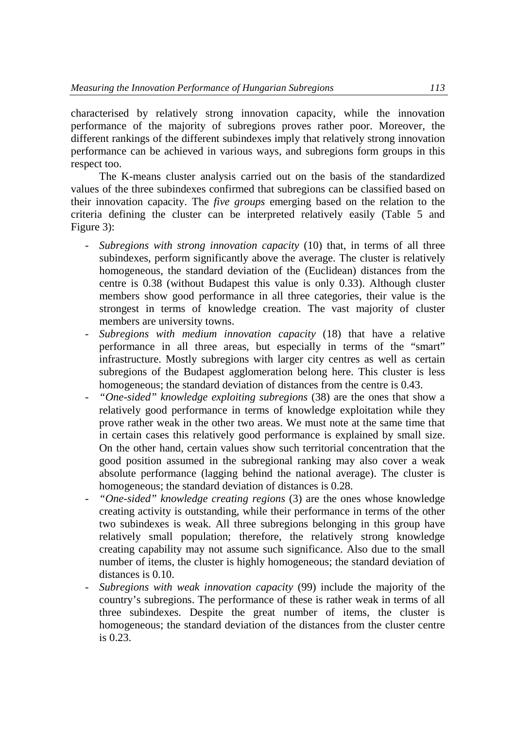characterised by relatively strong innovation capacity, while the innovation performance of the majority of subregions proves rather poor. Moreover, the different rankings of the different subindexes imply that relatively strong innovation performance can be achieved in various ways, and subregions form groups in this respect too.

The K-means cluster analysis carried out on the basis of the standardized values of the three subindexes confirmed that subregions can be classified based on their innovation capacity. The *five groups* emerging based on the relation to the criteria defining the cluster can be interpreted relatively easily (Table 5 and Figure 3):

- *Subregions with strong innovation capacity* (10) that, in terms of all three subindexes, perform significantly above the average. The cluster is relatively homogeneous, the standard deviation of the (Euclidean) distances from the centre is 0.38 (without Budapest this value is only 0.33). Although cluster members show good performance in all three categories, their value is the strongest in terms of knowledge creation. The vast majority of cluster members are university towns.
- *Subregions with medium innovation capacity* (18) that have a relative performance in all three areas, but especially in terms of the "smart" infrastructure. Mostly subregions with larger city centres as well as certain subregions of the Budapest agglomeration belong here. This cluster is less homogeneous; the standard deviation of distances from the centre is 0.43.
- *"One-sided" knowledge exploiting subregions* (38) are the ones that show a relatively good performance in terms of knowledge exploitation while they prove rather weak in the other two areas. We must note at the same time that in certain cases this relatively good performance is explained by small size. On the other hand, certain values show such territorial concentration that the good position assumed in the subregional ranking may also cover a weak absolute performance (lagging behind the national average). The cluster is homogeneous; the standard deviation of distances is 0.28.
- *"One-sided" knowledge creating regions* (3) are the ones whose knowledge creating activity is outstanding, while their performance in terms of the other two subindexes is weak. All three subregions belonging in this group have relatively small population; therefore, the relatively strong knowledge creating capability may not assume such significance. Also due to the small number of items, the cluster is highly homogeneous; the standard deviation of distances is 0.10.
- *Subregions with weak innovation capacity* (99) include the majority of the country's subregions. The performance of these is rather weak in terms of all three subindexes. Despite the great number of items, the cluster is homogeneous; the standard deviation of the distances from the cluster centre is 0.23.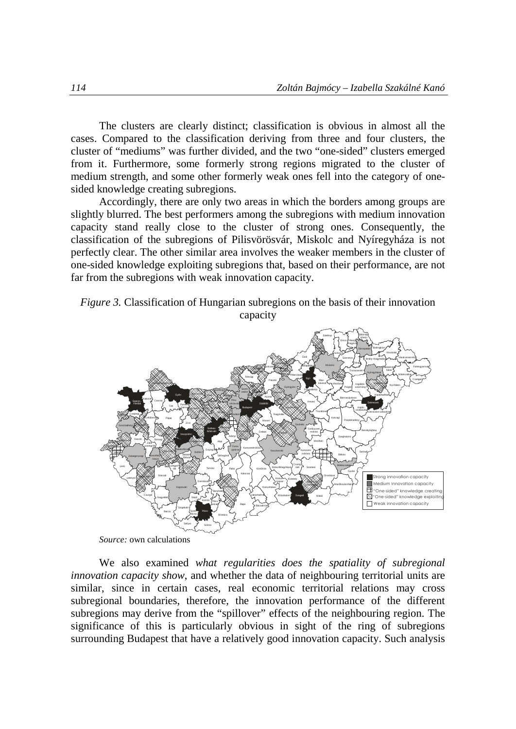The clusters are clearly distinct; classification is obvious in almost all the cases. Compared to the classification deriving from three and four clusters, the cluster of "mediums" was further divided, and the two "one-sided" clusters emerged from it. Furthermore, some formerly strong regions migrated to the cluster of medium strength, and some other formerly weak ones fell into the category of onesided knowledge creating subregions.

Accordingly, there are only two areas in which the borders among groups are slightly blurred. The best performers among the subregions with medium innovation capacity stand really close to the cluster of strong ones. Consequently, the classification of the subregions of Pilisvörösvár, Miskolc and Nyíregyháza is not perfectly clear. The other similar area involves the weaker members in the cluster of one-sided knowledge exploiting subregions that, based on their performance, are not far from the subregions with weak innovation capacity.

*Figure 3.* Classification of Hungarian subregions on the basis of their innovation capacity



*Source:* own calculations

We also examined *what regularities does the spatiality of subregional innovation capacity show*, and whether the data of neighbouring territorial units are similar, since in certain cases, real economic territorial relations may cross subregional boundaries, therefore, the innovation performance of the different subregions may derive from the "spillover" effects of the neighbouring region. The significance of this is particularly obvious in sight of the ring of subregions surrounding Budapest that have a relatively good innovation capacity. Such analysis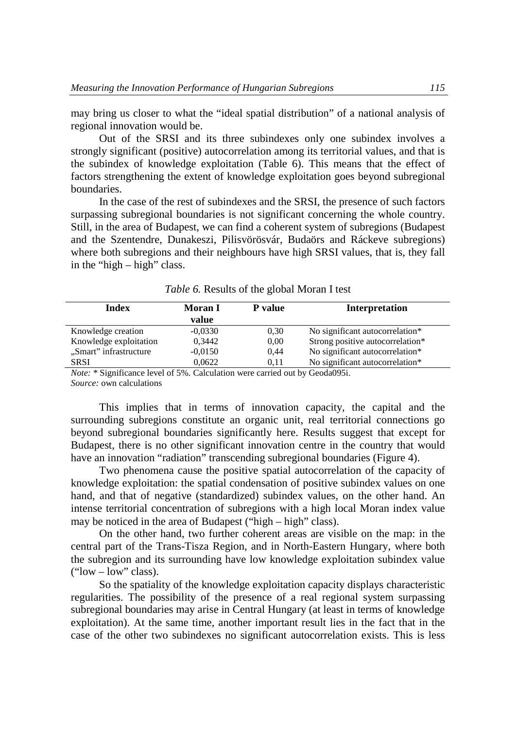may bring us closer to what the "ideal spatial distribution" of a national analysis of regional innovation would be.

Out of the SRSI and its three subindexes only one subindex involves a strongly significant (positive) autocorrelation among its territorial values, and that is the subindex of knowledge exploitation (Table 6). This means that the effect of factors strengthening the extent of knowledge exploitation goes beyond subregional boundaries.

In the case of the rest of subindexes and the SRSI, the presence of such factors surpassing subregional boundaries is not significant concerning the whole country. Still, in the area of Budapest, we can find a coherent system of subregions (Budapest and the Szentendre, Dunakeszi, Pilisvörösvár, Budaörs and Ráckeve subregions) where both subregions and their neighbours have high SRSI values, that is, they fall in the "high – high" class.

| Index                  | Moran I<br>value | P value | Interpretation                   |
|------------------------|------------------|---------|----------------------------------|
| Knowledge creation     | $-0.0330$        | 0.30    | No significant autocorrelation*  |
| Knowledge exploitation | 0,3442           | 0.00    | Strong positive autocorrelation* |
| "Smart" infrastructure | $-0.0150$        | 0.44    | No significant autocorrelation*  |
| SRSI                   | 0.0622           | 0.11    | No significant autocorrelation*  |

*Table 6.* Results of the global Moran I test

*Note:* \* Significance level of 5%. Calculation were carried out by Geoda095i. *Source:* own calculations

This implies that in terms of innovation capacity, the capital and the surrounding subregions constitute an organic unit, real territorial connections go beyond subregional boundaries significantly here. Results suggest that except for Budapest, there is no other significant innovation centre in the country that would have an innovation "radiation" transcending subregional boundaries (Figure 4).

Two phenomena cause the positive spatial autocorrelation of the capacity of knowledge exploitation: the spatial condensation of positive subindex values on one hand, and that of negative (standardized) subindex values, on the other hand. An intense territorial concentration of subregions with a high local Moran index value may be noticed in the area of Budapest ("high – high" class).

On the other hand, two further coherent areas are visible on the map: in the central part of the Trans-Tisza Region, and in North-Eastern Hungary, where both the subregion and its surrounding have low knowledge exploitation subindex value ("low  $-$  low" class).

So the spatiality of the knowledge exploitation capacity displays characteristic regularities. The possibility of the presence of a real regional system surpassing subregional boundaries may arise in Central Hungary (at least in terms of knowledge exploitation). At the same time, another important result lies in the fact that in the case of the other two subindexes no significant autocorrelation exists. This is less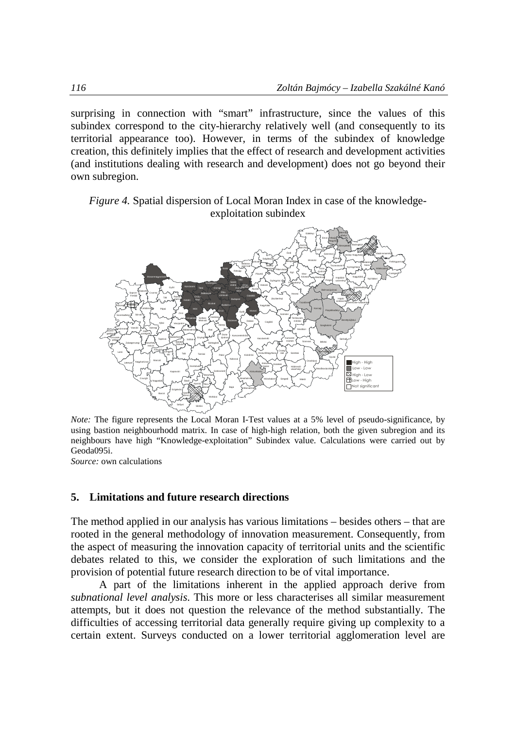surprising in connection with "smart" infrastructure, since the values of this subindex correspond to the city-hierarchy relatively well (and consequently to its territorial appearance too). However, in terms of the subindex of knowledge creation, this definitely implies that the effect of research and development activities (and institutions dealing with research and development) does not go beyond their own subregion.

*Figure 4.* Spatial dispersion of Local Moran Index in case of the knowledgeexploitation subindex



*Note:* The figure represents the Local Moran I-Test values at a 5% level of pseudo-significance, by using bastion neighbourhodd matrix. In case of high-high relation, both the given subregion and its neighbours have high "Knowledge-exploitation" Subindex value. Calculations were carried out by Geoda095i.

*Source:* own calculations

### **5. Limitations and future research directions**

The method applied in our analysis has various limitations – besides others – that are rooted in the general methodology of innovation measurement. Consequently, from the aspect of measuring the innovation capacity of territorial units and the scientific debates related to this, we consider the exploration of such limitations and the provision of potential future research direction to be of vital importance.

A part of the limitations inherent in the applied approach derive from *subnational level analysis*. This more or less characterises all similar measurement attempts, but it does not question the relevance of the method substantially. The difficulties of accessing territorial data generally require giving up complexity to a certain extent. Surveys conducted on a lower territorial agglomeration level are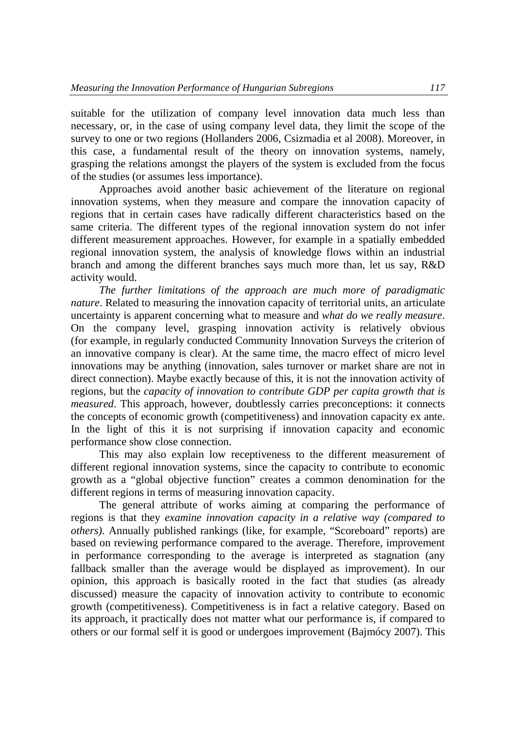suitable for the utilization of company level innovation data much less than necessary, or, in the case of using company level data, they limit the scope of the survey to one or two regions (Hollanders 2006, Csizmadia et al 2008). Moreover, in this case, a fundamental result of the theory on innovation systems, namely, grasping the relations amongst the players of the system is excluded from the focus of the studies (or assumes less importance).

Approaches avoid another basic achievement of the literature on regional innovation systems, when they measure and compare the innovation capacity of regions that in certain cases have radically different characteristics based on the same criteria. The different types of the regional innovation system do not infer different measurement approaches. However, for example in a spatially embedded regional innovation system, the analysis of knowledge flows within an industrial branch and among the different branches says much more than, let us say, R&D activity would.

*The further limitations of the approach are much more of paradigmatic nature*. Related to measuring the innovation capacity of territorial units, an articulate uncertainty is apparent concerning what to measure and *what do we really measure*. On the company level, grasping innovation activity is relatively obvious (for example, in regularly conducted Community Innovation Surveys the criterion of an innovative company is clear). At the same time, the macro effect of micro level innovations may be anything (innovation, sales turnover or market share are not in direct connection). Maybe exactly because of this, it is not the innovation activity of regions, but the *capacity of innovation to contribute GDP per capita growth that is measured*. This approach, however, doubtlessly carries preconceptions: it connects the concepts of economic growth (competitiveness) and innovation capacity ex ante. In the light of this it is not surprising if innovation capacity and economic performance show close connection.

This may also explain low receptiveness to the different measurement of different regional innovation systems, since the capacity to contribute to economic growth as a "global objective function" creates a common denomination for the different regions in terms of measuring innovation capacity.

The general attribute of works aiming at comparing the performance of regions is that they *examine innovation capacity in a relative way (compared to others)*. Annually published rankings (like, for example, "Scoreboard" reports) are based on reviewing performance compared to the average. Therefore, improvement in performance corresponding to the average is interpreted as stagnation (any fallback smaller than the average would be displayed as improvement). In our opinion, this approach is basically rooted in the fact that studies (as already discussed) measure the capacity of innovation activity to contribute to economic growth (competitiveness). Competitiveness is in fact a relative category. Based on its approach, it practically does not matter what our performance is, if compared to others or our formal self it is good or undergoes improvement (Bajmócy 2007). This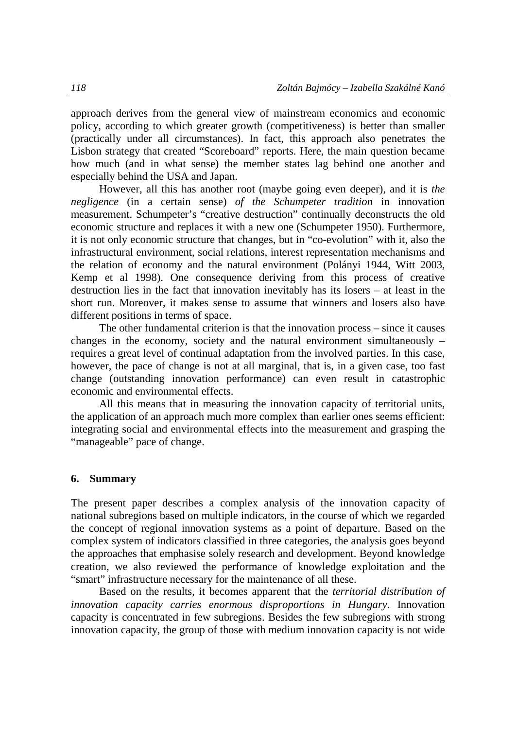approach derives from the general view of mainstream economics and economic policy, according to which greater growth (competitiveness) is better than smaller (practically under all circumstances). In fact, this approach also penetrates the Lisbon strategy that created "Scoreboard" reports. Here, the main question became how much (and in what sense) the member states lag behind one another and especially behind the USA and Japan.

However, all this has another root (maybe going even deeper), and it is *the negligence* (in a certain sense) *of the Schumpeter tradition* in innovation measurement. Schumpeter's "creative destruction" continually deconstructs the old economic structure and replaces it with a new one (Schumpeter 1950). Furthermore, it is not only economic structure that changes, but in "co-evolution" with it, also the infrastructural environment, social relations, interest representation mechanisms and the relation of economy and the natural environment (Polányi 1944, Witt 2003, Kemp et al 1998). One consequence deriving from this process of creative destruction lies in the fact that innovation inevitably has its losers – at least in the short run. Moreover, it makes sense to assume that winners and losers also have different positions in terms of space.

The other fundamental criterion is that the innovation process – since it causes changes in the economy, society and the natural environment simultaneously – requires a great level of continual adaptation from the involved parties. In this case, however, the pace of change is not at all marginal, that is, in a given case, too fast change (outstanding innovation performance) can even result in catastrophic economic and environmental effects.

All this means that in measuring the innovation capacity of territorial units, the application of an approach much more complex than earlier ones seems efficient: integrating social and environmental effects into the measurement and grasping the "manageable" pace of change.

#### **6. Summary**

The present paper describes a complex analysis of the innovation capacity of national subregions based on multiple indicators, in the course of which we regarded the concept of regional innovation systems as a point of departure. Based on the complex system of indicators classified in three categories, the analysis goes beyond the approaches that emphasise solely research and development. Beyond knowledge creation, we also reviewed the performance of knowledge exploitation and the "smart" infrastructure necessary for the maintenance of all these.

Based on the results, it becomes apparent that the *territorial distribution of innovation capacity carries enormous disproportions in Hungary*. Innovation capacity is concentrated in few subregions. Besides the few subregions with strong innovation capacity, the group of those with medium innovation capacity is not wide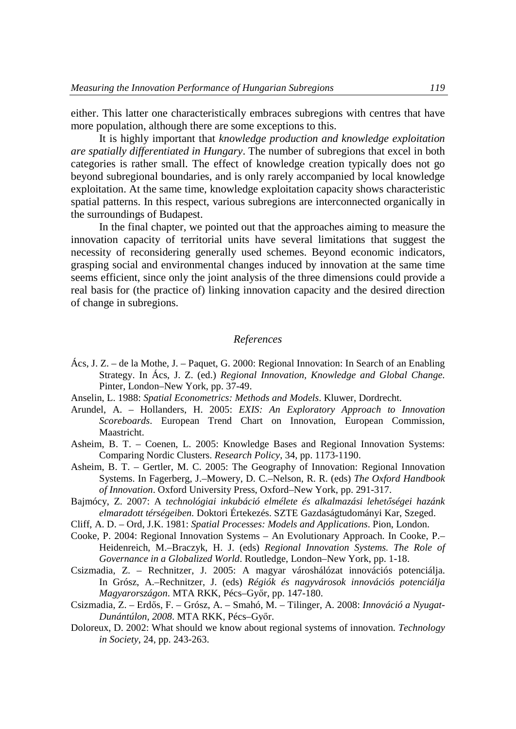either. This latter one characteristically embraces subregions with centres that have more population, although there are some exceptions to this.

It is highly important that *knowledge production and knowledge exploitation are spatially differentiated in Hungary*. The number of subregions that excel in both categories is rather small. The effect of knowledge creation typically does not go beyond subregional boundaries, and is only rarely accompanied by local knowledge exploitation. At the same time, knowledge exploitation capacity shows characteristic spatial patterns. In this respect, various subregions are interconnected organically in the surroundings of Budapest.

In the final chapter, we pointed out that the approaches aiming to measure the innovation capacity of territorial units have several limitations that suggest the necessity of reconsidering generally used schemes. Beyond economic indicators, grasping social and environmental changes induced by innovation at the same time seems efficient, since only the joint analysis of the three dimensions could provide a real basis for (the practice of) linking innovation capacity and the desired direction of change in subregions.

#### *References*

- Ács, J. Z. de la Mothe, J. Paquet, G. 2000: Regional Innovation: In Search of an Enabling Strategy. In Ács, J. Z. (ed.) *Regional Innovation, Knowledge and Global Change.* Pinter, London–New York, pp. 37-49.
- Anselin, L. 1988: *Spatial Econometrics: Methods and Models*. Kluwer, Dordrecht.
- Arundel, A. Hollanders, H. 2005: *EXIS: An Exploratory Approach to Innovation Scoreboards*. European Trend Chart on Innovation, European Commission, Maastricht.
- Asheim, B. T. Coenen, L. 2005: Knowledge Bases and Regional Innovation Systems: Comparing Nordic Clusters. *Research Policy*, 34, pp. 1173-1190.
- Asheim, B. T. Gertler, M. C. 2005: The Geography of Innovation: Regional Innovation Systems. In Fagerberg, J.–Mowery, D. C.–Nelson, R. R. (eds) *The Oxford Handbook of Innovation*. Oxford University Press, Oxford–New York, pp. 291-317.
- Bajmócy, Z. 2007: A *technológiai inkubáció elmélete és alkalmazási lehetőségei hazánk elmaradott térségeiben.* Doktori Értekezés. SZTE Gazdaságtudományi Kar, Szeged.
- Cliff, A. D. Ord, J.K. 1981: *Spatial Processes: Models and Applications*. Pion, London.
- Cooke, P. 2004: Regional Innovation Systems An Evolutionary Approach. In Cooke, P.– Heidenreich, M.–Braczyk, H. J. (eds) *Regional Innovation Systems. The Role of Governance in a Globalized World*. Routledge, London–New York, pp. 1-18.
- Csizmadia, Z. Rechnitzer, J. 2005: A magyar városhálózat innovációs potenciálja. In Grósz, A.–Rechnitzer, J. (eds) *Régiók és nagyvárosok innovációs potenciálja Magyarországon*. MTA RKK, Pécs–Győr, pp. 147-180.
- Csizmadia, Z. Erdős, F. Grósz, A. Smahó, M. Tilinger, A. 2008: *Innováció a Nyugat-Dunántúlon, 2008*. MTA RKK, Pécs–Győr.
- Doloreux, D. 2002: What should we know about regional systems of innovation. *Technology in Society*, 24, pp. 243-263.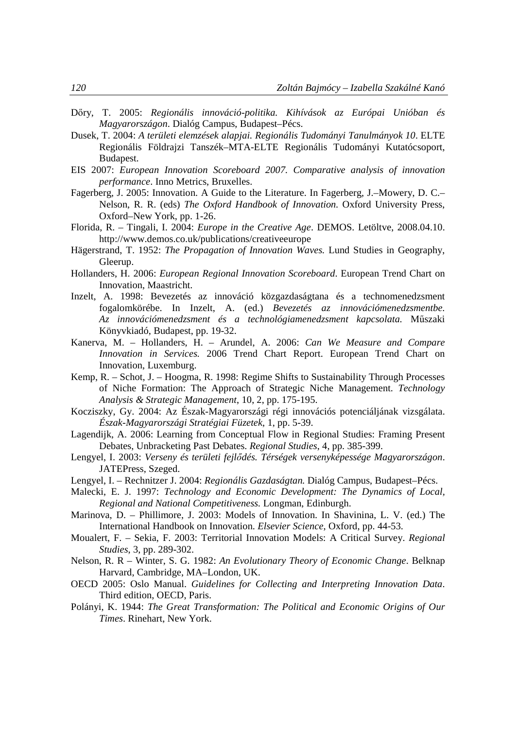- Dőry, T. 2005: *Regionális innováció-politika. Kihívások az Európai Unióban és Magyarországon*. Dialóg Campus, Budapest–Pécs.
- Dusek, T. 2004: *A területi elemzések alapjai. Regionális Tudományi Tanulmányok 10*. ELTE Regionális Földrajzi Tanszék–MTA-ELTE Regionális Tudományi Kutatócsoport, Budapest.
- EIS 2007: *European Innovation Scoreboard 2007. Comparative analysis of innovation performance*. Inno Metrics, Bruxelles.
- Fagerberg, J. 2005: Innovation. A Guide to the Literature. In Fagerberg, J.–Mowery, D. C.– Nelson, R. R. (eds) *The Oxford Handbook of Innovation.* Oxford University Press, Oxford–New York, pp. 1-26.
- Florida, R. Tingali, I. 2004: *Europe in the Creative Age*. DEMOS. Letöltve, 2008.04.10. http://www.demos.co.uk/publications/creativeeurope
- Hägerstrand, T. 1952: *The Propagation of Innovation Waves.* Lund Studies in Geography, Gleerup.
- Hollanders, H. 2006: *European Regional Innovation Scoreboard*. European Trend Chart on Innovation, Maastricht.
- Inzelt, A. 1998: Bevezetés az innováció közgazdaságtana és a technomenedzsment fogalomkörébe. In Inzelt, A. (ed.) *Bevezetés az innovációmenedzsmentbe. Az innovációmenedzsment és a technológiamenedzsment kapcsolata.* Műszaki Könyvkiadó, Budapest, pp. 19-32.
- Kanerva, M. Hollanders, H. Arundel, A. 2006: *Can We Measure and Compare Innovation in Services.* 2006 Trend Chart Report. European Trend Chart on Innovation, Luxemburg.
- Kemp, R. Schot, J. Hoogma, R. 1998: Regime Shifts to Sustainability Through Processes of Niche Formation: The Approach of Strategic Niche Management. *Technology Analysis & Strategic Management*, 10, 2, pp. 175-195.
- Kocziszky, Gy. 2004: Az Észak-Magyarországi régi innovációs potenciáljának vizsgálata. *Észak-Magyarországi Stratégiai Füzetek*, 1, pp. 5-39.
- Lagendijk, A. 2006: Learning from Conceptual Flow in Regional Studies: Framing Present Debates, Unbracketing Past Debates. *Regional Studies*, 4, pp. 385-399.
- Lengyel, I. 2003: *Verseny és területi fejlődés. Térségek versenyképessége Magyarországon*. JATEPress, Szeged.
- Lengyel, I. Rechnitzer J. 2004: *Regionális Gazdaságtan.* Dialóg Campus, Budapest–Pécs.
- Malecki, E. J. 1997: *Technology and Economic Development: The Dynamics of Local, Regional and National Competitiveness.* Longman, Edinburgh.
- Marinova, D. Phillimore, J. 2003: Models of Innovation. In Shavinina, L. V. (ed.) The International Handbook on Innovation. *Elsevier Science*, Oxford, pp. 44-53.
- Moualert, F. Sekia, F. 2003: Territorial Innovation Models: A Critical Survey. *Regional Studies*, 3, pp. 289-302.
- Nelson, R. R Winter, S. G. 1982: *An Evolutionary Theory of Economic Change*. Belknap Harvard, Cambridge, MA–London, UK.
- OECD 2005: Oslo Manual. *Guidelines for Collecting and Interpreting Innovation Data*. Third edition, OECD, Paris.
- Polányi, K. 1944: *The Great Transformation: The Political and Economic Origins of Our Times*. Rinehart, New York.